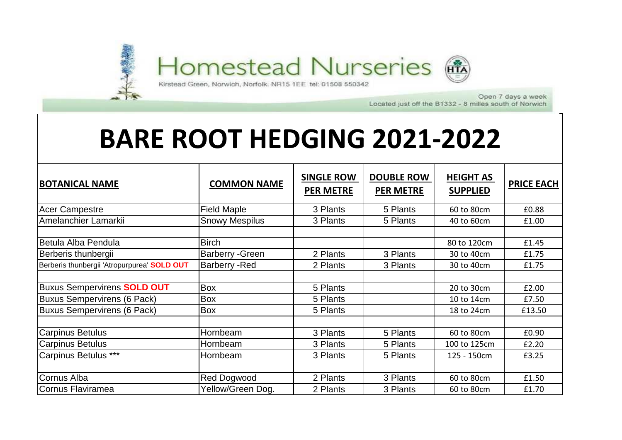

Open 7 days a week Located just off the B1332 - 8 milles south of Norwich

## **BARE ROOT HEDGING 2021-2022**

| <b>BOTANICAL NAME</b>                       | <b>COMMON NAME</b>      | <b>SINGLE ROW</b><br><b>PER METRE</b> | <b>DOUBLE ROW</b><br><b>PER METRE</b> | <b>HEIGHT AS</b><br><b>SUPPLIED</b> | <b>PRICE EACH</b> |
|---------------------------------------------|-------------------------|---------------------------------------|---------------------------------------|-------------------------------------|-------------------|
| <b>Acer Campestre</b>                       | <b>Field Maple</b>      | 3 Plants                              | 5 Plants                              | 60 to 80cm                          | £0.88             |
| Amelanchier Lamarkii                        | <b>Snowy Mespilus</b>   | 3 Plants                              | 5 Plants                              | 40 to 60cm                          | £1.00             |
| Betula Alba Pendula                         | <b>Birch</b>            |                                       |                                       | 80 to 120cm                         | £1.45             |
| Berberis thunbergii                         | <b>Barberry - Green</b> | 2 Plants                              | 3 Plants                              | 30 to 40cm                          | £1.75             |
| Berberis thunbergii 'Atropurpurea' SOLD OUT | <b>Barberry - Red</b>   | 2 Plants                              | 3 Plants                              | 30 to 40cm                          | £1.75             |
|                                             |                         |                                       |                                       |                                     |                   |
| <b>Buxus Sempervirens SOLD OUT</b>          | Box                     | 5 Plants                              |                                       | 20 to 30cm                          | £2.00             |
| <b>Buxus Sempervirens (6 Pack)</b>          | Box                     | 5 Plants                              |                                       | 10 to 14cm                          | £7.50             |
| <b>Buxus Sempervirens (6 Pack)</b>          | Box                     | 5 Plants                              |                                       | 18 to 24cm                          | £13.50            |
|                                             |                         |                                       |                                       |                                     |                   |
| <b>Carpinus Betulus</b>                     | Hornbeam                | 3 Plants                              | 5 Plants                              | 60 to 80cm                          | £0.90             |
| <b>Carpinus Betulus</b>                     | Hornbeam                | 3 Plants                              | 5 Plants                              | 100 to 125cm                        | £2.20             |
| Carpinus Betulus ***                        | Hornbeam                | 3 Plants                              | 5 Plants                              | 125 - 150cm                         | £3.25             |
|                                             |                         |                                       |                                       |                                     |                   |
| Cornus Alba                                 | <b>Red Dogwood</b>      | 2 Plants                              | 3 Plants                              | 60 to 80cm                          | £1.50             |
| Cornus Flaviramea                           | Yellow/Green Dog.       | 2 Plants                              | 3 Plants                              | 60 to 80cm                          | £1.70             |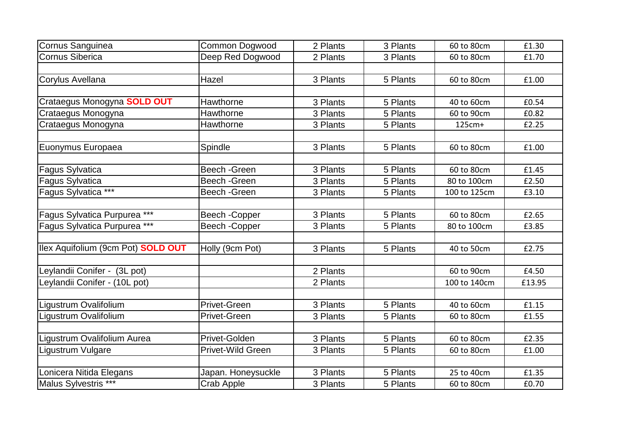| Cornus Sanguinea                   | <b>Common Dogwood</b> | 2 Plants | 3 Plants | 60 to 80cm   | £1.30  |
|------------------------------------|-----------------------|----------|----------|--------------|--------|
| <b>Cornus Siberica</b>             | Deep Red Dogwood      | 2 Plants | 3 Plants | 60 to 80cm   | £1.70  |
|                                    |                       |          |          |              |        |
| Corylus Avellana                   | Hazel                 | 3 Plants | 5 Plants | 60 to 80cm   | £1.00  |
|                                    |                       |          |          |              |        |
| Crataegus Monogyna SOLD OUT        | Hawthorne             | 3 Plants | 5 Plants | 40 to 60cm   | £0.54  |
| Crataegus Monogyna                 | Hawthorne             | 3 Plants | 5 Plants | 60 to 90cm   | £0.82  |
| Crataegus Monogyna                 | <b>Hawthorne</b>      | 3 Plants | 5 Plants | $125cm+$     | £2.25  |
|                                    |                       |          |          |              |        |
| Euonymus Europaea                  | Spindle               | 3 Plants | 5 Plants | 60 to 80cm   | £1.00  |
|                                    |                       |          |          |              |        |
| Fagus Sylvatica                    | Beech - Green         | 3 Plants | 5 Plants | 60 to 80cm   | £1.45  |
| Fagus Sylvatica                    | Beech - Green         | 3 Plants | 5 Plants | 80 to 100cm  | £2.50  |
| Fagus Sylvatica ***                | Beech - Green         | 3 Plants | 5 Plants | 100 to 125cm | £3.10  |
|                                    |                       |          |          |              |        |
| Fagus Sylvatica Purpurea ***       | Beech-Copper          | 3 Plants | 5 Plants | 60 to 80cm   | £2.65  |
| Fagus Sylvatica Purpurea ***       | Beech - Copper        | 3 Plants | 5 Plants | 80 to 100cm  | £3.85  |
|                                    |                       |          |          |              |        |
| Ilex Aquifolium (9cm Pot) SOLD OUT | Holly (9cm Pot)       | 3 Plants | 5 Plants | 40 to 50cm   | £2.75  |
|                                    |                       |          |          |              |        |
| Leylandii Conifer - (3L pot)       |                       | 2 Plants |          | 60 to 90cm   | £4.50  |
| Leylandii Conifer - (10L pot)      |                       | 2 Plants |          | 100 to 140cm | £13.95 |
|                                    |                       |          |          |              |        |
| Ligustrum Ovalifolium              | Privet-Green          | 3 Plants | 5 Plants | 40 to 60cm   | £1.15  |
| Ligustrum Ovalifolium              | <b>Privet-Green</b>   | 3 Plants | 5 Plants | 60 to 80cm   | £1.55  |
|                                    |                       |          |          |              |        |
| Ligustrum Ovalifolium Aurea        | Privet-Golden         | 3 Plants | 5 Plants | 60 to 80cm   | £2.35  |
| Ligustrum Vulgare                  | Privet-Wild Green     | 3 Plants | 5 Plants | 60 to 80cm   | £1.00  |
|                                    |                       |          |          |              |        |
| Lonicera Nitida Elegans            | Japan. Honeysuckle    | 3 Plants | 5 Plants | 25 to 40cm   | £1.35  |
| Malus Sylvestris ***               | Crab Apple            | 3 Plants | 5 Plants | 60 to 80cm   | £0.70  |